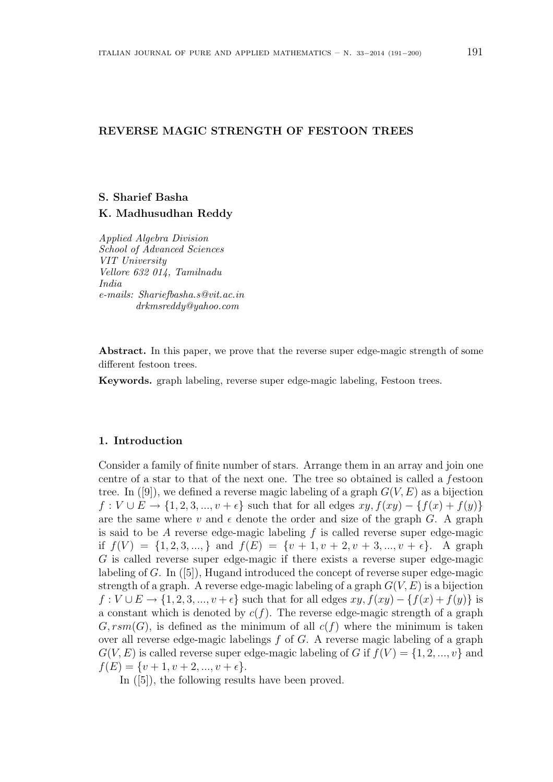# REVERSE MAGIC STRENGTH OF FESTOON TREES

#### S. Sharief Basha

### K. Madhusudhan Reddy

Applied Algebra Division School of Advanced Sciences VIT University Vellore 632 014, Tamilnadu India e-mails: Shariefbasha.s@vit.ac.in drkmsreddy@yahoo.com

Abstract. In this paper, we prove that the reverse super edge-magic strength of some different festoon trees.

Keywords. graph labeling, reverse super edge-magic labeling, Festoon trees.

### 1. Introduction

Consider a family of finite number of stars. Arrange them in an array and join one centre of a star to that of the next one. The tree so obtained is called a festoon tree. In  $([9])$ , we defined a reverse magic labeling of a graph  $G(V, E)$  as a bijection  $f: V \cup E \rightarrow \{1, 2, 3, ..., v + \epsilon\}$  such that for all edges  $xy, f(xy) - \{f(x) + f(y)\}$ are the same where v and  $\epsilon$  denote the order and size of the graph G. A graph is said to be A reverse edge-magic labeling  $f$  is called reverse super edge-magic if  $f(V) = \{1, 2, 3, \dots\}$  and  $f(E) = \{v + 1, v + 2, v + 3, \dots, v + \epsilon\}$ . A graph G is called reverse super edge-magic if there exists a reverse super edge-magic labeling of G. In ([5]), Hugand introduced the concept of reverse super edge-magic strength of a graph. A reverse edge-magic labeling of a graph  $G(V, E)$  is a bijection  $f: V \cup E \rightarrow \{1, 2, 3, ..., v + \epsilon\}$  such that for all edges  $xy, f(xy) - \{f(x) + f(y)\}\$ is a constant which is denoted by  $c(f)$ . The reverse edge-magic strength of a graph  $G, rsm(G)$ , is defined as the minimum of all  $c(f)$  where the minimum is taken over all reverse edge-magic labelings  $f$  of  $G$ . A reverse magic labeling of a graph  $G(V, E)$  is called reverse super edge-magic labeling of G if  $f(V) = \{1, 2, ..., v\}$  and  $f(E) = \{v+1, v+2, ..., v+\epsilon\}.$ 

In ([5]), the following results have been proved.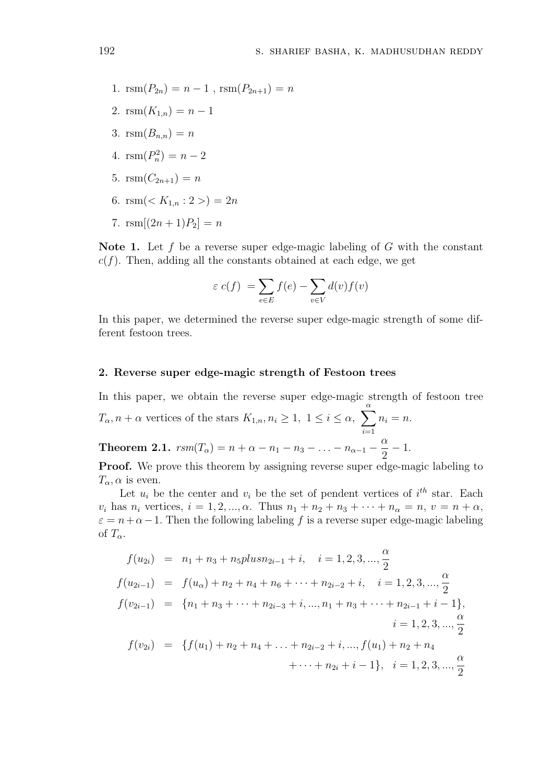- 1.  $\text{rsm}(P_{2n}) = n 1$ ,  $\text{rsm}(P_{2n+1}) = n$ 2.  $\text{rsm}(K_{1,n}) = n-1$ 3.  $\text{rsm}(B_{n,n}) = n$
- 4.  $\text{rsm}(P_n^2) = n 2$
- 5.  $\text{rsm}(C_{2n+1}) = n$
- 6.  $\text{rsm}(< K_{1n}: 2>) = 2n$
- 7.  $\text{rsm}[(2n+1)P_2] = n$

Note 1. Let f be a reverse super edge-magic labeling of  $G$  with the constant  $c(f)$ . Then, adding all the constants obtained at each edge, we get

$$
\varepsilon \ c(f) \ = \sum_{e \in E} f(e) - \sum_{v \in V} d(v) f(v)
$$

In this paper, we determined the reverse super edge-magic strength of some different festoon trees.

## 2. Reverse super edge-magic strength of Festoon trees

In this paper, we obtain the reverse super edge-magic strength of festoon tree

 $T_{\alpha}$ ,  $n + \alpha$  vertices of the stars  $K_{1,n}$ ,  $n_i \geq 1$ ,  $1 \leq i \leq \alpha$ ,  $\sum_{i=1}^{\alpha}$  $i=1$  $n_i = n$ . **Theorem 2.1.**  $rsm(T_{\alpha}) = n + \alpha - n_1 - n_3 - ... - n_{\alpha-1}$ α 2 − 1.

Proof. We prove this theorem by assigning reverse super edge-magic labeling to  $T_{\alpha}$ ,  $\alpha$  is even.

Let  $u_i$  be the center and  $v_i$  be the set of pendent vertices of  $i^{th}$  star. Each  $v_i$  has  $n_i$  vertices,  $i = 1, 2, ..., \alpha$ . Thus  $n_1 + n_2 + n_3 + \cdots + n_\alpha = n$ ,  $v = n + \alpha$ ,  $\varepsilon = n + \alpha - 1$ . Then the following labeling f is a reverse super edge-magic labeling of  $T_{\alpha}$ .

$$
f(u_{2i}) = n_1 + n_3 + n_5plusn_{2i-1} + i, \quad i = 1, 2, 3, ..., \frac{\alpha}{2}
$$
  
\n
$$
f(u_{2i-1}) = f(u_{\alpha}) + n_2 + n_4 + n_6 + \dots + n_{2i-2} + i, \quad i = 1, 2, 3, ..., \frac{\alpha}{2}
$$
  
\n
$$
f(v_{2i-1}) = \{n_1 + n_3 + \dots + n_{2i-3} + i, ..., n_1 + n_3 + \dots + n_{2i-1} + i - 1\},
$$
  
\n
$$
i = 1, 2, 3, ..., \frac{\alpha}{2}
$$
  
\n
$$
f(v_{2i}) = \{f(u_1) + n_2 + n_4 + \dots + n_{2i-2} + i, ..., f(u_1) + n_2 + n_4 + \dots + n_{2i} + i - 1\}, \quad i = 1, 2, 3, ..., \frac{\alpha}{2}
$$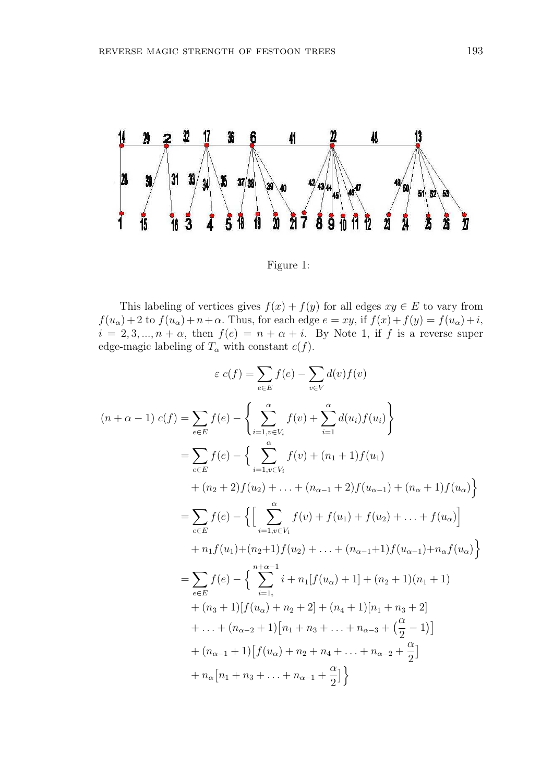

Figure 1:

This labeling of vertices gives  $f(x) + f(y)$  for all edges  $xy \in E$  to vary from  $f(u_{\alpha}) + 2$  to  $f(u_{\alpha}) + n + \alpha$ . Thus, for each edge  $e = xy$ , if  $f(x) + f(y) = f(u_{\alpha}) + i$ ,  $i = 2, 3, ..., n + \alpha$ , then  $f(e) = n + \alpha + i$ . By Note 1, if f is a reverse super edge-magic labeling of  $T_{\alpha}$  with constant  $c(f)$ .

$$
\varepsilon c(f) = \sum_{e \in E} f(e) - \sum_{v \in V} d(v) f(v)
$$
  
\n
$$
(n + \alpha - 1) c(f) = \sum_{e \in E} f(e) - \left\{ \sum_{i=1, v \in V_i}^{\alpha} f(v) + \sum_{i=1}^{\alpha} d(u_i) f(u_i) \right\}
$$
  
\n
$$
= \sum_{e \in E} f(e) - \left\{ \sum_{i=1, v \in V_i}^{\alpha} f(v) + (n_1 + 1) f(u_1) + (n_2 + 2) f(u_2) + \dots + (n_{\alpha - 1} + 2) f(u_{\alpha - 1}) + (n_{\alpha} + 1) f(u_{\alpha}) \right\}
$$
  
\n
$$
= \sum_{e \in E} f(e) - \left\{ \left[ \sum_{i=1, v \in V_i}^{\alpha} f(v) + f(u_1) + f(u_2) + \dots + f(u_{\alpha}) \right] + n_1 f(u_1) + (n_2 + 1) f(u_2) + \dots + (n_{\alpha - 1} + 1) f(u_{\alpha - 1}) + n_{\alpha} f(u_{\alpha}) \right\}
$$
  
\n
$$
= \sum_{e \in E} f(e) - \left\{ \sum_{i=1}^{n + \alpha - 1} i + n_1 [f(u_{\alpha}) + 1] + (n_2 + 1) (n_1 + 1) + (n_3 + 1) [f(u_{\alpha}) + n_2 + 2] + (n_4 + 1) [n_1 + n_3 + 2] + \dots + (n_{\alpha - 2} + 1) [n_1 + n_3 + \dots + n_{\alpha - 3} + (\frac{\alpha}{2} - 1)] + (n_{\alpha - 1} + 1) [f(u_{\alpha}) + n_2 + n_4 + \dots + n_{\alpha - 2} + \frac{\alpha}{2}] + n_{\alpha} [n_1 + n_3 + \dots + n_{\alpha - 1} + \frac{\alpha}{2}]
$$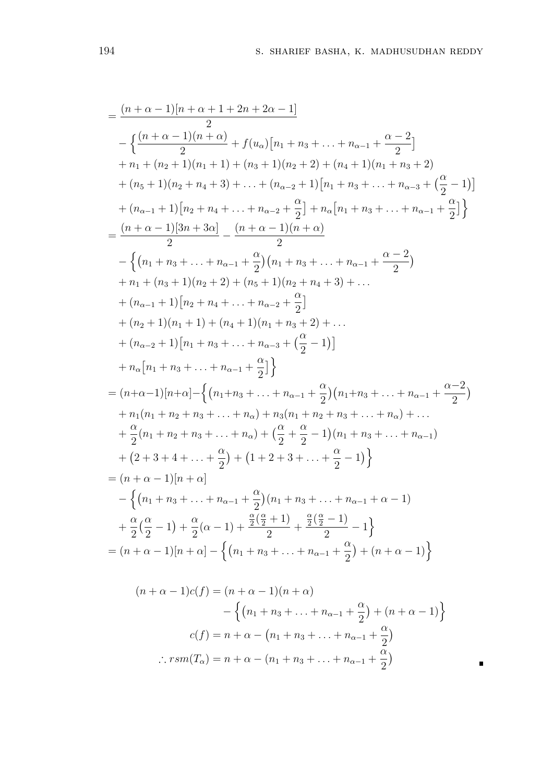$$
\begin{split}\n&=\frac{(n+\alpha-1)[n+\alpha+1+2n+2\alpha-1]}{2} \\
&-\left\{\frac{(n+\alpha-1)(n+\alpha)}{2}+f(u_{\alpha})[n_{1}+n_{3}+\ldots+n_{\alpha-1}+\frac{\alpha-2}{2}] \\
&+n_{1}+(n_{2}+1)(n_{1}+1)+(n_{3}+1)(n_{2}+2)+(n_{4}+1)(n_{1}+n_{3}+2) \\
&+(n_{5}+1)(n_{2}+n_{4}+3)+\ldots+(n_{\alpha-2}+1)[n_{1}+n_{3}+\ldots+n_{\alpha-3}+\left(\frac{\alpha}{2}-1\right)] \\
&+(n_{\alpha-1}+1)[n_{2}+n_{4}+\ldots+n_{\alpha-2}+\frac{\alpha}{2}]+n_{\alpha}[n_{1}+n_{3}+\ldots+n_{\alpha-1}+\frac{\alpha}{2}]\right\}\\
&=\frac{(n+\alpha-1)[3n+3\alpha]}{2}-\frac{(n+\alpha-1)(n+\alpha)}{2} \\
&-\left\{(n_{1}+n_{3}+\ldots+n_{\alpha-1}+\frac{\alpha}{2})(n_{1}+n_{3}+\ldots+n_{\alpha-1}+\frac{\alpha-2}{2})\right. \\
&+n_{1}+(n_{3}+1)(n_{2}+2)+(n_{5}+1)(n_{2}+n_{4}+3)+\ldots \\
&+(n_{\alpha-1}+1)[n_{2}+n_{4}+\ldots+n_{\alpha-2}+\frac{\alpha}{2}] \\
&+(n_{2}+1)(n_{1}+1)+(n_{4}+1)(n_{1}+n_{3}+2)+\ldots \\
&+(n_{\alpha-2}+1)[n_{1}+n_{3}+\ldots+n_{\alpha-3}+\left(\frac{\alpha}{2}-1\right)] \\
&+n_{\alpha}[n_{1}+n_{3}+\ldots+n_{\alpha-1}+\frac{\alpha}{2}]\right\}\\
&=(n+\alpha-1)[n+\alpha]-\left\{(n_{1}+n_{3}+\ldots+n_{\alpha-1}+\frac{\alpha}{2})(n_{1}+n_{3}+\ldots+n_{\alpha-1}+\frac{\alpha-2}{2})\right. \\
&+n_{1}(n_{1}+n_{2}+n_{3}+\ldots+n_{\alpha})+n_{3}(n_{1}+n_{2}+n_{3}+\ldots+n_{\alpha})+\ldots \\
&+\frac{\alpha}{2}(n_{1}+n_{2}+n_{3}+\ldots+n_{\alpha})+\left
$$

$$
(n+\alpha-1)c(f) = (n+\alpha-1)(n+\alpha)
$$

$$
-\left\{(n_1+n_3+\ldots+n_{\alpha-1}+\frac{\alpha}{2})+(n+\alpha-1)\right\}
$$

$$
c(f) = n+\alpha - (n_1+n_3+\ldots+n_{\alpha-1}+\frac{\alpha}{2})
$$

$$
\therefore rsm(T_\alpha) = n+\alpha - (n_1+n_3+\ldots+n_{\alpha-1}+\frac{\alpha}{2})
$$

 $\blacksquare$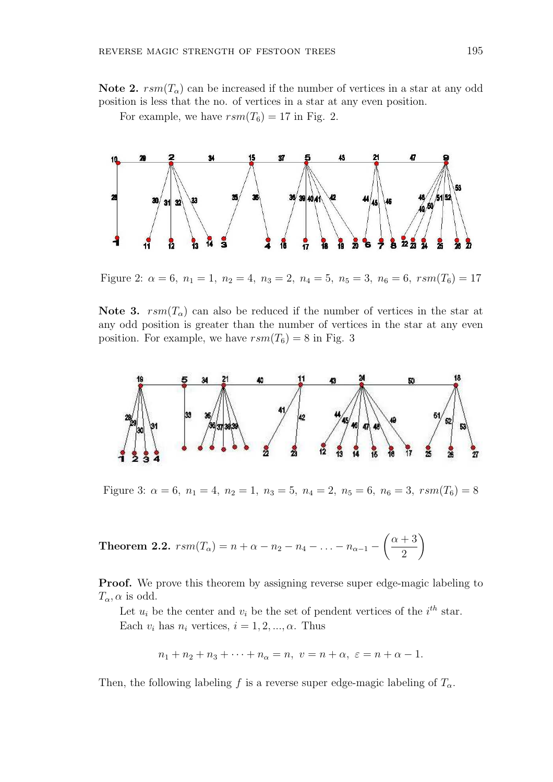Note 2.  $rsm(T_{\alpha})$  can be increased if the number of vertices in a star at any odd position is less that the no. of vertices in a star at any even position.

For example, we have  $rsm(T_6) = 17$  in Fig. 2.



Figure 2:  $\alpha = 6$ ,  $n_1 = 1$ ,  $n_2 = 4$ ,  $n_3 = 2$ ,  $n_4 = 5$ ,  $n_5 = 3$ ,  $n_6 = 6$ ,  $rsm(T_6) = 17$ 

Note 3.  $rsm(T<sub>o</sub>)$  can also be reduced if the number of vertices in the star at any odd position is greater than the number of vertices in the star at any even position. For example, we have  $rsm(T_6) = 8$  in Fig. 3



Figure 3:  $\alpha = 6$ ,  $n_1 = 4$ ,  $n_2 = 1$ ,  $n_3 = 5$ ,  $n_4 = 2$ ,  $n_5 = 6$ ,  $n_6 = 3$ ,  $rsm(T_6) = 8$ 

**Theorem 2.2.** 
$$
rsm(T_{\alpha}) = n + \alpha - n_2 - n_4 - ... - n_{\alpha-1} - \left(\frac{\alpha+3}{2}\right)
$$

Proof. We prove this theorem by assigning reverse super edge-magic labeling to  $T_{\alpha}$ ,  $\alpha$  is odd.

Let  $u_i$  be the center and  $v_i$  be the set of pendent vertices of the  $i^{th}$  star. Each  $v_i$  has  $n_i$  vertices,  $i = 1, 2, ..., \alpha$ . Thus

$$
n_1 + n_2 + n_3 + \cdots + n_\alpha = n, \ v = n + \alpha, \ \varepsilon = n + \alpha - 1.
$$

Then, the following labeling f is a reverse super edge-magic labeling of  $T_{\alpha}$ .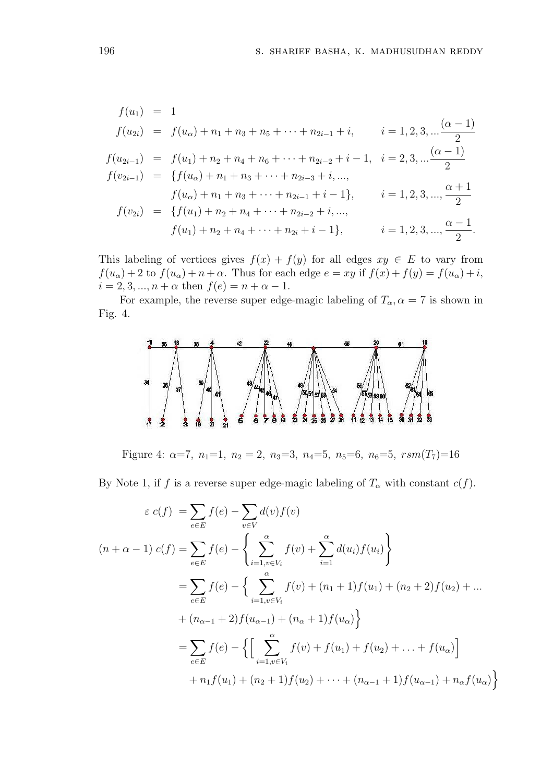$$
f(u_1) = 1
$$
  
\n
$$
f(u_{2i}) = f(u_{\alpha}) + n_1 + n_3 + n_5 + \dots + n_{2i-1} + i, \qquad i = 1, 2, 3, \dots, \frac{(\alpha - 1)}{2}
$$
  
\n
$$
f(u_{2i-1}) = f(u_1) + n_2 + n_4 + n_6 + \dots + n_{2i-2} + i - 1, \quad i = 2, 3, \dots, \frac{(\alpha - 1)}{2}
$$
  
\n
$$
f(v_{2i-1}) = \{f(u_{\alpha}) + n_1 + n_3 + \dots + n_{2i-3} + i, \dots,
$$
  
\n
$$
f(u_{\alpha}) + n_1 + n_3 + \dots + n_{2i-1} + i - 1\}, \qquad i = 1, 2, 3, \dots, \frac{\alpha + 1}{2}
$$
  
\n
$$
f(v_{2i}) = \{f(u_1) + n_2 + n_4 + \dots + n_{2i-2} + i, \dots,
$$
  
\n
$$
f(u_1) + n_2 + n_4 + \dots + n_{2i} + i - 1\}, \qquad i = 1, 2, 3, \dots, \frac{\alpha - 1}{2}.
$$

This labeling of vertices gives  $f(x) + f(y)$  for all edges  $xy \in E$  to vary from  $f(u_{\alpha}) + 2$  to  $f(u_{\alpha}) + n + \alpha$ . Thus for each edge  $e = xy$  if  $f(x) + f(y) = f(u_{\alpha}) + i$ ,  $i = 2, 3, ..., n + \alpha$  then  $f(e) = n + \alpha - 1$ .

For example, the reverse super edge-magic labeling of  $T_{\alpha}$ ,  $\alpha = 7$  is shown in Fig. 4.



Figure 4:  $\alpha=7$ ,  $n_1=1$ ,  $n_2=2$ ,  $n_3=3$ ,  $n_4=5$ ,  $n_5=6$ ,  $n_6=5$ ,  $rsm(T_7)=16$ 

By Note 1, if f is a reverse super edge-magic labeling of  $T_{\alpha}$  with constant  $c(f)$ .

$$
\varepsilon c(f) = \sum_{e \in E} f(e) - \sum_{v \in V} d(v) f(v)
$$
  
\n
$$
(n + \alpha - 1) c(f) = \sum_{e \in E} f(e) - \left\{ \sum_{i=1, v \in V_i}^{\alpha} f(v) + \sum_{i=1}^{\alpha} d(u_i) f(u_i) \right\}
$$
  
\n
$$
= \sum_{e \in E} f(e) - \left\{ \sum_{i=1, v \in V_i}^{\alpha} f(v) + (n_1 + 1) f(u_1) + (n_2 + 2) f(u_2) + \dots + (n_{\alpha - 1} + 2) f(u_{\alpha - 1}) + (n_{\alpha} + 1) f(u_{\alpha}) \right\}
$$
  
\n
$$
= \sum_{e \in E} f(e) - \left\{ \left[ \sum_{i=1, v \in V_i}^{\alpha} f(v) + f(u_1) + f(u_2) + \dots + f(u_{\alpha}) \right] + n_1 f(u_1) + (n_2 + 1) f(u_2) + \dots + (n_{\alpha - 1} + 1) f(u_{\alpha - 1}) + n_{\alpha} f(u_{\alpha}) \right\}
$$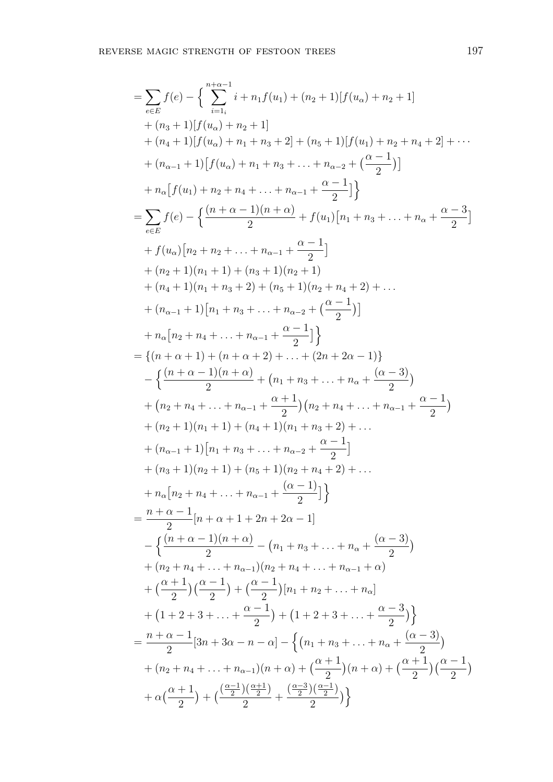$$
\begin{split}\n&=\sum_{e\in E}f(e)-\Big\{\sum_{i=1}^{n+\alpha-1}i+n_1f(u_1)+(n_2+1)[f(u_{\alpha})+n_2+1] \\
&+(n_3+1)[f(u_{\alpha})+n_2+1] \\
&+(n_4+1)[f(u_{\alpha})+n_1+n_3+2]+(n_5+1)[f(u_1)+n_2+n_4+2]+\cdots \\
&+(n_{\alpha-1}+1)[f(u_{\alpha})+n_1+n_3+\ldots+n_{\alpha-2}+\big(\frac{\alpha-1}{2}\big)]\Big\}\\
&=\sum_{e\in E}f(e)-\Big\{\frac{(n+\alpha-1)(n+\alpha)}{2}+f(u_1)[n_1+n_3+\ldots+n_{\alpha}+\frac{\alpha-3}{2}] \\
&+f(u_2)[n_2+n_2+\ldots+n_{\alpha-1}+\frac{\alpha-1}{2}] \\
&+(n_2+1)(n_1+1)+(n_3+1)(n_2+1) \\
&+(n_4+1)(n_1+n_3+2)+(n_5+1)(n_2+n_4+2)+\ldots \\
&+(n_{\alpha-1}+1)[n_1+n_3+\ldots+n_{\alpha-2}+\big(\frac{\alpha-1}{2}\big)] \\
&= \{(n+\alpha+1)+(n+\alpha+2)+\ldots+(2n+2\alpha-1)\}\Big\}\\
&-\Big\{\frac{(n+\alpha-1)(n+\alpha)}{2}+(n_1+n_3+\ldots+n_{\alpha}+\frac{(\alpha-3)}{2})\\ &+(n_2+n_4+\ldots+n_{\alpha-1}+\frac{\alpha+1}{2}\Big)(n_2+n_4+\ldots+n_{\alpha-1}+\frac{\alpha-1}{2})\\ &+(n_2+n_4+\ldots+n_{\alpha-1}+\frac{\alpha+1}{2})(n_2+n_4+\ldots+n_{\alpha-1}+\frac{\alpha-1}{2})\\ &+(n_2+1)(n_1+1)+(n_4+1)(n_1+n_3+2)+\ldots \\
&+ (n_2+1)(n_1+1)+(n_4+1)(n_1+n_3+2)+\ldots \\
&+ (n_2+1)(n_1+1)+(n_3+1)(n_2+n_4+2)+\ldots \\
&+ (n_2+1)(n_2+1)+(n_3+1)(n_2+n_4+2)+\ldots \\
&+ (n_2+1)(n_2+1)+(n_3+1)(n_2+n_4+2)+\ldots \\
&+ (n_2+1)(n_2+1)+(n
$$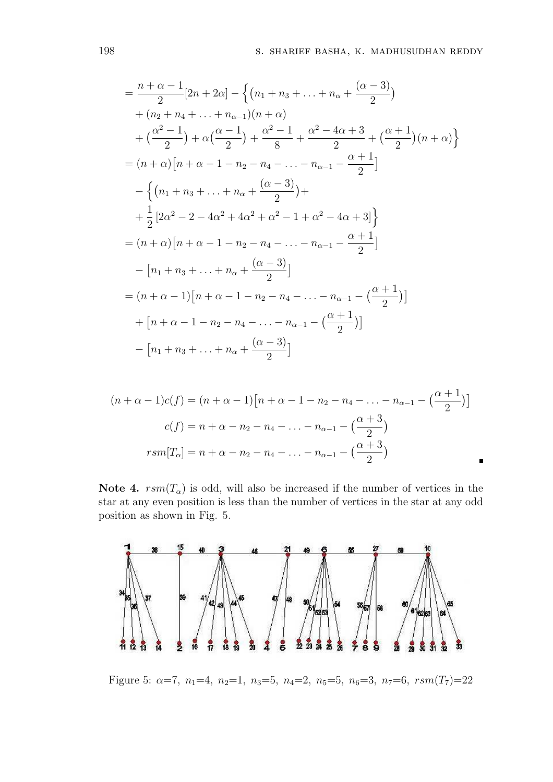$$
\begin{split}\n&=\frac{n+\alpha-1}{2}[2n+2\alpha]-\left\{(n_1+n_3+\ldots+n_{\alpha}+\frac{(\alpha-3)}{2})\right.\\
&+(n_2+n_4+\ldots+n_{\alpha-1})(n+\alpha)\\
&+(\frac{\alpha^2-1}{2})+\alpha(\frac{\alpha-1}{2})+\frac{\alpha^2-1}{8}+\frac{\alpha^2-4\alpha+3}{2}+(\frac{\alpha+1}{2})(n+\alpha)\right\}\\
&=(n+\alpha)[n+\alpha-1-n_2-n_4-\ldots-n_{\alpha-1}-\frac{\alpha+1}{2}]\\
&-\left\{(n_1+n_3+\ldots+n_{\alpha}+\frac{(\alpha-3)}{2})+\right.\\
&+\frac{1}{2}[2\alpha^2-2-4\alpha^2+4\alpha^2+\alpha^2-1+\alpha^2-4\alpha+3]\right\}\\
&=(n+\alpha)[n+\alpha-1-n_2-n_4-\ldots-n_{\alpha-1}-\frac{\alpha+1}{2}]\\
&-[n_1+n_3+\ldots+n_{\alpha}+\frac{(\alpha-3)}{2}]\\
&=(n+\alpha-1)[n+\alpha-1-n_2-n_4-\ldots-n_{\alpha-1}-\frac{\alpha+1}{2}]\\
&+[n+\alpha-1-n_2-n_4-\ldots-n_{\alpha-1}-\frac{\alpha+1}{2}]\\
&-[n_1+n_3+\ldots+n_{\alpha}+\frac{(\alpha-3)}{2}]\\
&-[n_1+n_3+\ldots+n_{\alpha}+\frac{(\alpha-3)}{2}]\\
\end{split}
$$

$$
(n + \alpha - 1)c(f) = (n + \alpha - 1)[n + \alpha - 1 - n_2 - n_4 - \dots - n_{\alpha - 1} - (\frac{\alpha + 1}{2})]
$$

$$
c(f) = n + \alpha - n_2 - n_4 - \dots - n_{\alpha - 1} - (\frac{\alpha + 3}{2})
$$

$$
rsm[T_{\alpha}] = n + \alpha - n_2 - n_4 - \dots - n_{\alpha - 1} - (\frac{\alpha + 3}{2})
$$

Note 4.  $rsm(T_\alpha)$  is odd, will also be increased if the number of vertices in the star at any even position is less than the number of vertices in the star at any odd position as shown in Fig. 5.



Figure 5:  $\alpha=7$ ,  $n_1=4$ ,  $n_2=1$ ,  $n_3=5$ ,  $n_4=2$ ,  $n_5=5$ ,  $n_6=3$ ,  $n_7=6$ ,  $rsm(T_7)=22$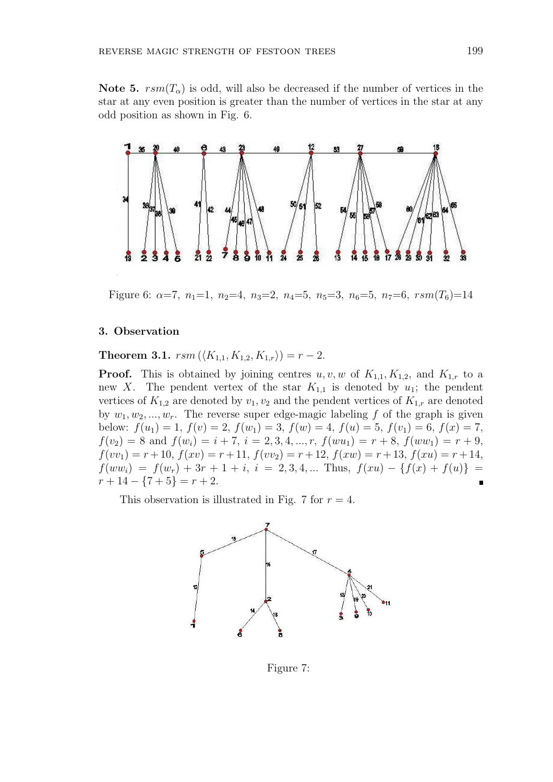Note 5.  $rsm(T_{\alpha})$  is odd, will also be decreased if the number of vertices in the star at any even position is greater than the number of vertices in the star at any odd position as shown in Fig. 6.



Figure 6:  $\alpha=7$ ,  $n_1=1$ ,  $n_2=4$ ,  $n_3=2$ ,  $n_4=5$ ,  $n_5=3$ ,  $n_6=5$ ,  $n_7=6$ ,  $rsm(T_6)=14$ 

### 3. Observation

Theorem 3.1.  $rsm(\langle K_{1,1}, K_{1,2}, K_{1,r} \rangle) = r - 2$ .

**Proof.** This is obtained by joining centres  $u, v, w$  of  $K_{1,1}, K_{1,2}$ , and  $K_{1,r}$  to a new X. The pendent vertex of the star  $K_{1,1}$  is denoted by  $u_1$ ; the pendent vertices of  $K_{1,2}$  are denoted by  $v_1, v_2$  and the pendent vertices of  $K_{1,r}$  are denoted by  $w_1, w_2, ..., w_r$ . The reverse super edge-magic labeling f of the graph is given below:  $f(u_1) = 1$ ,  $f(v) = 2$ ,  $f(w_1) = 3$ ,  $f(w) = 4$ ,  $f(u) = 5$ ,  $f(v_1) = 6$ ,  $f(x) = 7$ ,  $f(v_2) = 8$  and  $f(w_i) = i + 7$ ,  $i = 2, 3, 4, ..., r$ ,  $f(wu_1) = r + 8$ ,  $f(ww_1) = r + 9$ ,  $f(vv_1) = r + 10$ ,  $f(xv) = r + 11$ ,  $f(vv_2) = r + 12$ ,  $f(xw) = r + 13$ ,  $f(xu) = r + 14$ ,  $f(ww_i) = f(w_r) + 3r + 1 + i$ ,  $i = 2, 3, 4, ...$  Thus,  $f(xu) - \{f(x) + f(u)\}$  $r+14-\{7+5\}=r+2.$ 

This observation is illustrated in Fig. 7 for  $r = 4$ .



Figure 7: